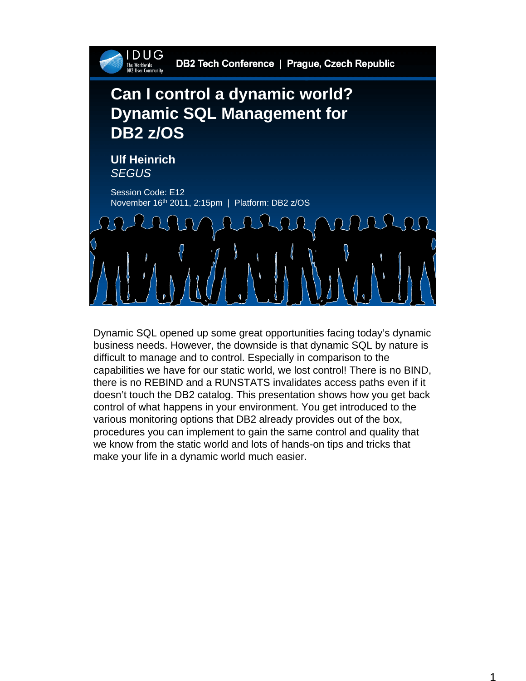

Dynamic SQL opened up some great opportunities facing today's dynamic business needs. However, the downside is that dynamic SQL by nature is difficult to manage and to control. Especially in comparison to the capabilities we have for our static world, we lost control! There is no BIND, there is no REBIND and a RUNSTATS invalidates access paths even if it doesn't touch the DB2 catalog. This presentation shows how you get back control of what happens in your environment. You get introduced to the various monitoring options that DB2 already provides out of the box, procedures you can implement to gain the same control and quality that we know from the static world and lots of hands-on tips and tricks that make your life in a dynamic world much easier.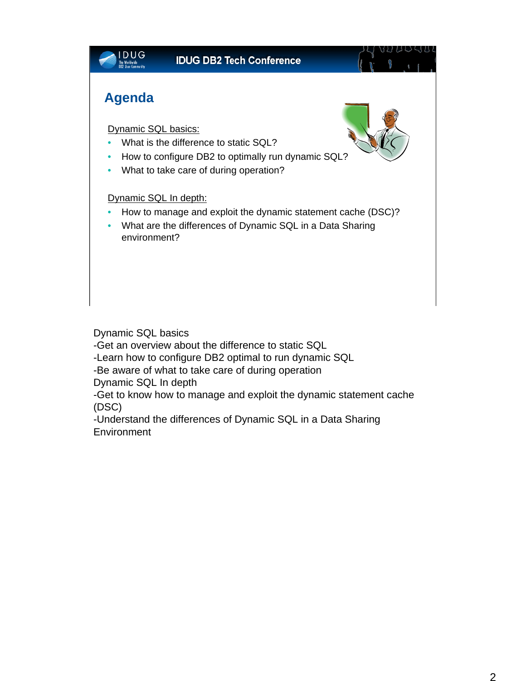

Dynamic SQL basics

-Get an overview about the difference to static SQL

-Learn how to configure DB2 optimal to run dynamic SQL

-Be aware of what to take care of during operation

Dynamic SQL In depth

-Get to know how to manage and exploit the dynamic statement cache (DSC)

-Understand the differences of Dynamic SQL in a Data Sharing Environment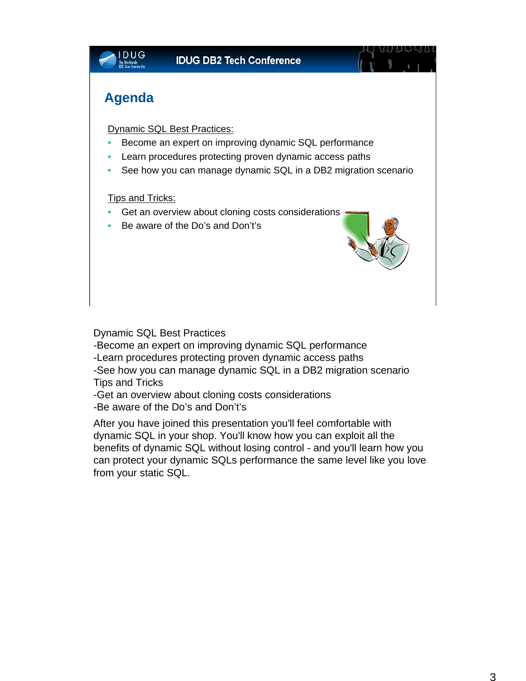

Dynamic SQL Best Practices

-Become an expert on improving dynamic SQL performance

-Learn procedures protecting proven dynamic access paths

-See how you can manage dynamic SQL in a DB2 migration scenario Tips and Tricks

-Get an overview about cloning costs considerations

-Be aware of the Do's and Don't's

After you have joined this presentation you'll feel comfortable with dynamic SQL in your shop. You'll know how you can exploit all the benefits of dynamic SQL without losing control - and you'll learn how you can protect your dynamic SQLs performance the same level like you love from your static SQL.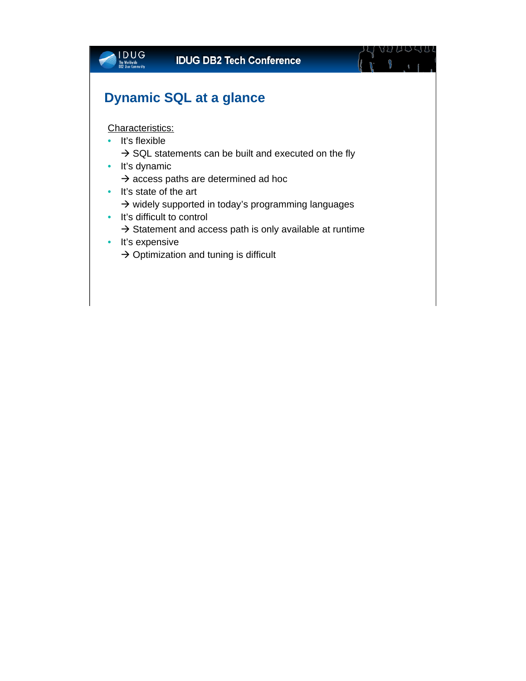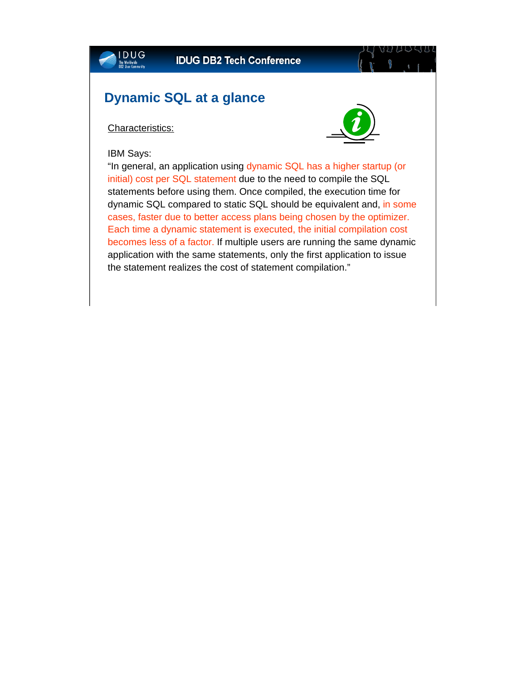### **Dynamic SQL at a glance**

Characteristics:

IBM Says:

IDUG



"In general, an application using dynamic SQL has a higher startup (or initial) cost per SQL statement due to the need to compile the SQL statements before using them. Once compiled, the execution time for dynamic SQL compared to static SQL should be equivalent and, in some cases, faster due to better access plans being chosen by the optimizer. Each time a dynamic statement is executed, the initial compilation cost becomes less of a factor. If multiple users are running the same dynamic application with the same statements, only the first application to issue the statement realizes the cost of statement compilation."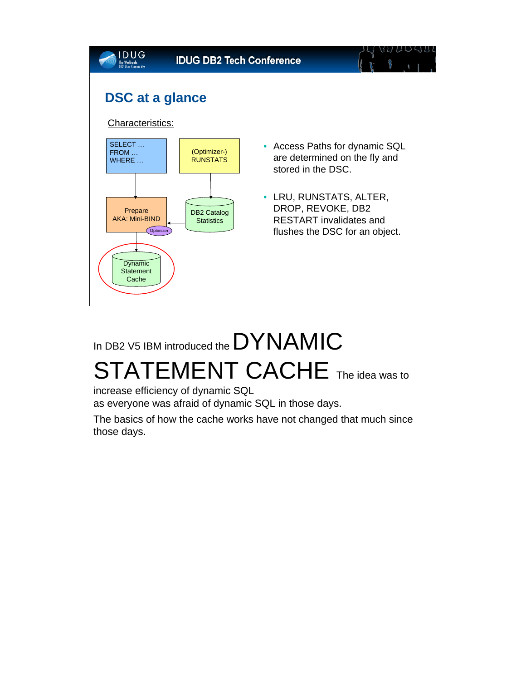

# In DB2 V5 IBM introduced the DYNAMIC STATEMENT CACHE The idea was to

increase efficiency of dynamic SQL as everyone was afraid of dynamic SQL in those days.

The basics of how the cache works have not changed that much since those days.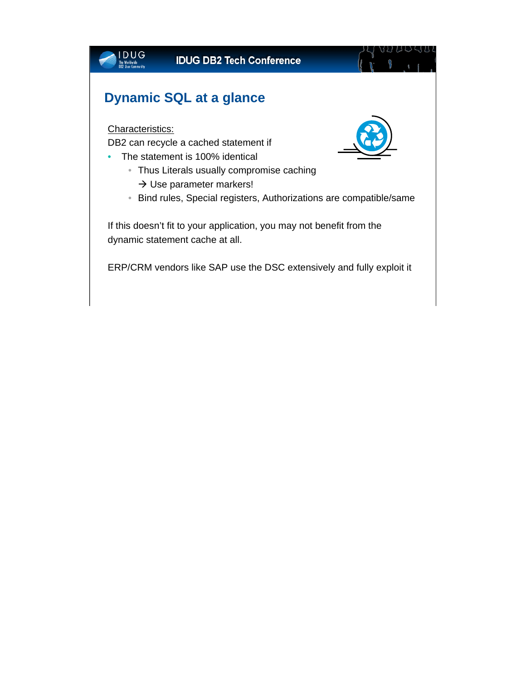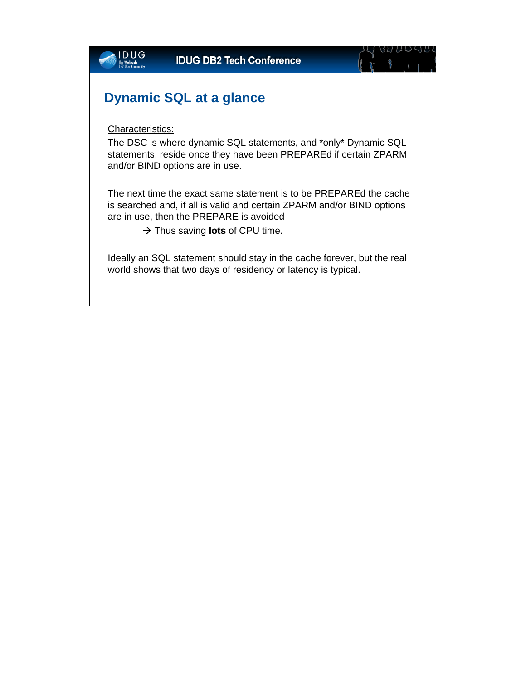

Ideally an SQL statement should stay in the cache forever, but the real world shows that two days of residency or latency is typical.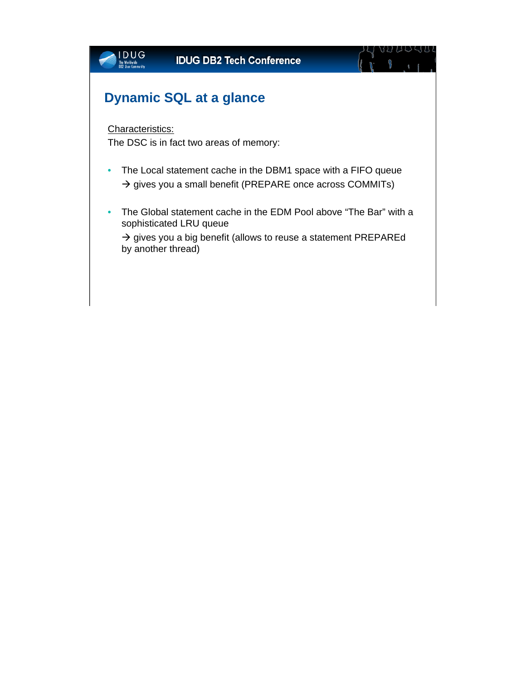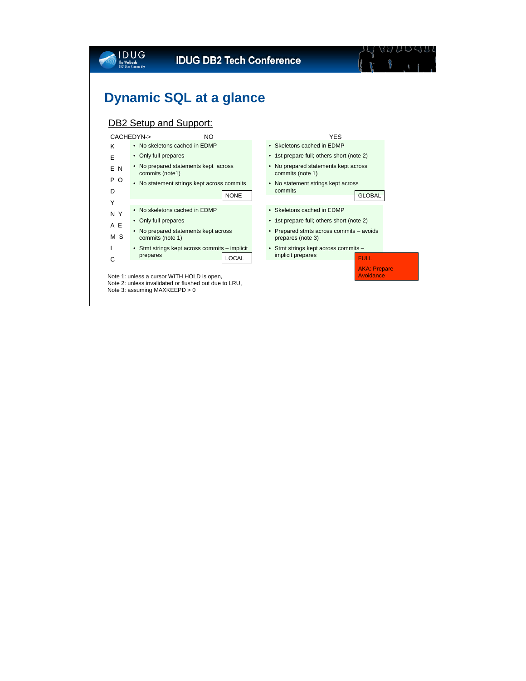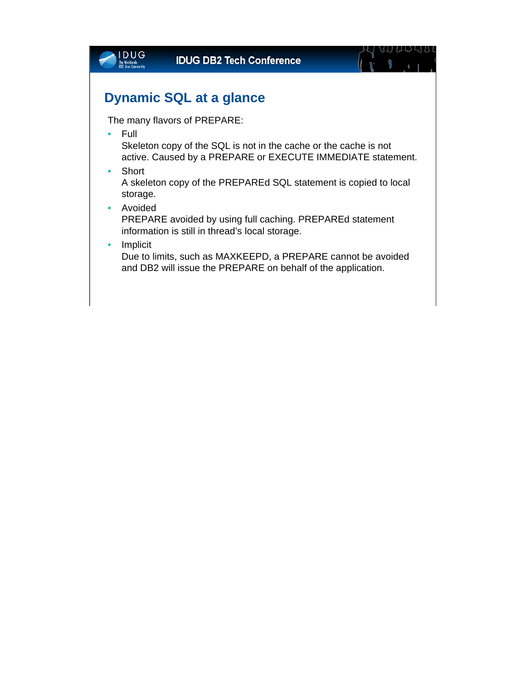| VU UU SUL<br><b>IDUG DB2 Tech Conference</b>                                                                                                          |
|-------------------------------------------------------------------------------------------------------------------------------------------------------|
| <b>Dynamic SQL at a glance</b>                                                                                                                        |
| The many flavors of PREPARE:                                                                                                                          |
| Full<br>$\bullet$<br>Skeleton copy of the SQL is not in the cache or the cache is not<br>active. Caused by a PREPARE or EXECUTE IMMEDIATE statement.  |
| Short<br>$\bullet$<br>A skeleton copy of the PREPAREd SQL statement is copied to local<br>storage.                                                    |
| Avoided<br>$\bullet$<br>PREPARE avoided by using full caching. PREPAREd statement<br>information is still in thread's local storage.                  |
| Implicit<br>$\bullet$<br>Due to limits, such as MAXKEEPD, a PREPARE cannot be avoided<br>and DB2 will issue the PREPARE on behalf of the application. |
|                                                                                                                                                       |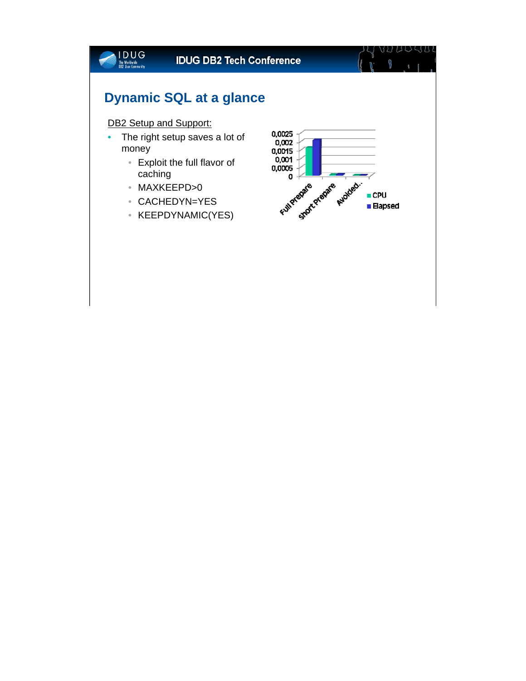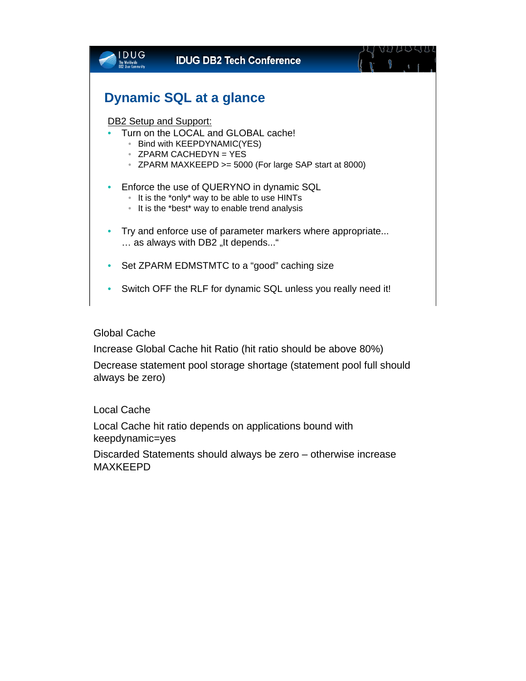| DUG                                | <b>IDUG DB2 Tech Conference</b>                                                                                                                               |  |
|------------------------------------|---------------------------------------------------------------------------------------------------------------------------------------------------------------|--|
|                                    | <b>Dynamic SQL at a glance</b>                                                                                                                                |  |
| <b>DB2 Setup and Support:</b><br>۰ | Turn on the LOCAL and GLOBAL cache!<br>Bind with KEEPDYNAMIC(YES)<br>$\bullet$ ZPARM CACHEDYN = YES<br>• ZPARM MAXKEEPD >= 5000 (For large SAP start at 8000) |  |
| ۰                                  | Enforce the use of QUERYNO in dynamic SQL<br>It is the *only* way to be able to use HINTs<br>It is the *best* way to enable trend analysis                    |  |
|                                    | Try and enforce use of parameter markers where appropriate<br>as always with DB2 "It depends"                                                                 |  |
|                                    | Set ZPARM EDMSTMTC to a "good" caching size                                                                                                                   |  |
|                                    | Switch OFF the RLF for dynamic SQL unless you really need it!                                                                                                 |  |
|                                    |                                                                                                                                                               |  |

Global Cache

Increase Global Cache hit Ratio (hit ratio should be above 80%)

Decrease statement pool storage shortage (statement pool full should always be zero)

Local Cache

Local Cache hit ratio depends on applications bound with keepdynamic=yes

Discarded Statements should always be zero – otherwise increase MAXKEEPD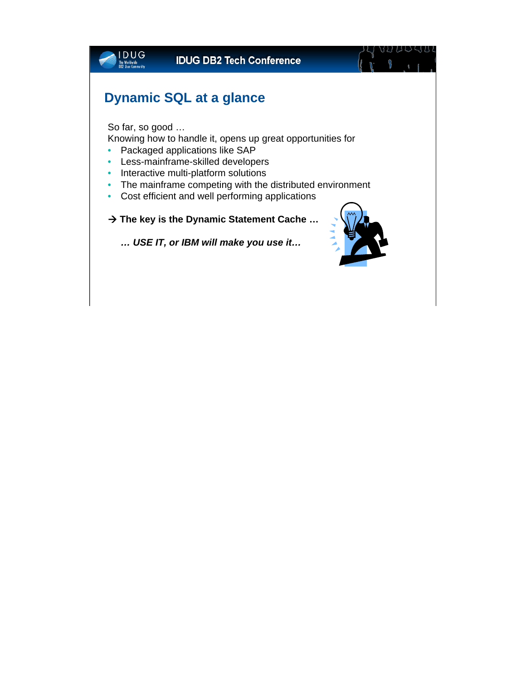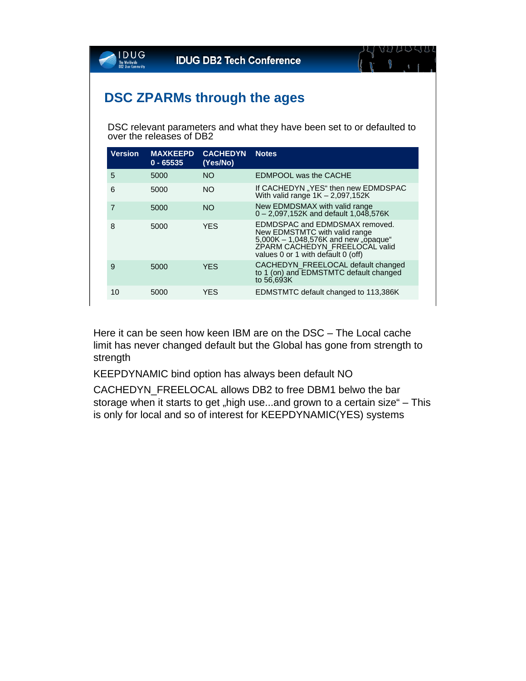

DSC relevant parameters and what they have been set to or defaulted to over the releases of DB2

| <b>Version</b> | <b>MAXKEEPD</b><br>$0 - 65535$ | <b>CACHEDYN</b><br>(Yes/No) | <b>Notes</b>                                                                                                                                                                    |
|----------------|--------------------------------|-----------------------------|---------------------------------------------------------------------------------------------------------------------------------------------------------------------------------|
| 5              | 5000                           | <b>NO</b>                   | <b>EDMPOOL was the CACHE</b>                                                                                                                                                    |
| 6              | 5000                           | NO.                         | If CACHEDYN "YES" then new EDMDSPAC<br>With valid range $1K - 2.097,152K$                                                                                                       |
| 7              | 5000                           | <b>NO</b>                   | New EDMDSMAX with valid range<br>$0 - 2.097,152K$ and default 1,048,576K                                                                                                        |
| 8              | 5000                           | YES                         | EDMDSPAC and EDMDSMAX removed.<br>New EDMSTMTC with valid range<br>5,000K - 1,048,576K and new "opaque"<br>ZPARM CACHEDYN FREELOCAL valid<br>values 0 or 1 with default 0 (off) |
| 9              | 5000                           | <b>YES</b>                  | CACHEDYN FREELOCAL default changed<br>to 1 (on) and EDMSTMTC default changed<br>to 56,693K                                                                                      |
| 10             | 5000                           | YES                         | EDMSTMTC default changed to 113,386K                                                                                                                                            |

Here it can be seen how keen IBM are on the DSC – The Local cache limit has never changed default but the Global has gone from strength to strength

KEEPDYNAMIC bind option has always been default NO

CACHEDYN\_FREELOCAL allows DB2 to free DBM1 belwo the bar storage when it starts to get "high use...and grown to a certain size" – This is only for local and so of interest for KEEPDYNAMIC(YES) systems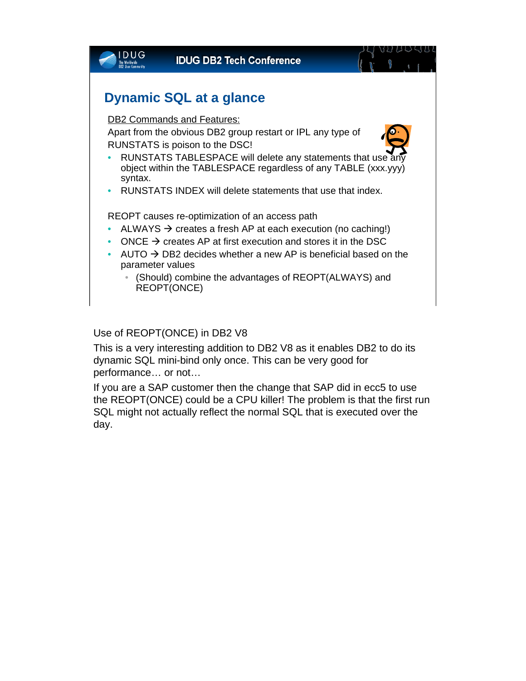

#### Use of REOPT(ONCE) in DB2 V8

This is a very interesting addition to DB2 V8 as it enables DB2 to do its dynamic SQL mini-bind only once. This can be very good for performance… or not…

If you are a SAP customer then the change that SAP did in ecc5 to use the REOPT(ONCE) could be a CPU killer! The problem is that the first run SQL might not actually reflect the normal SQL that is executed over the day.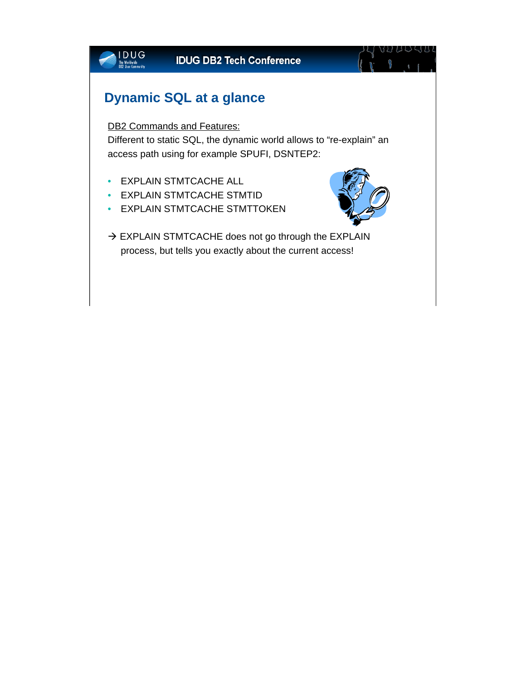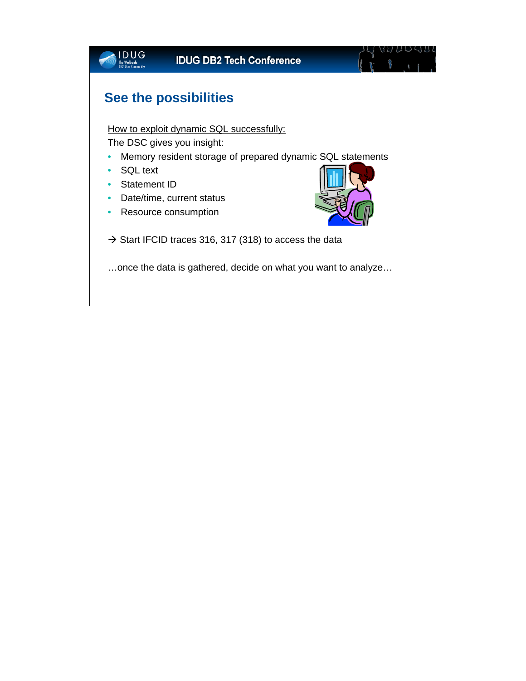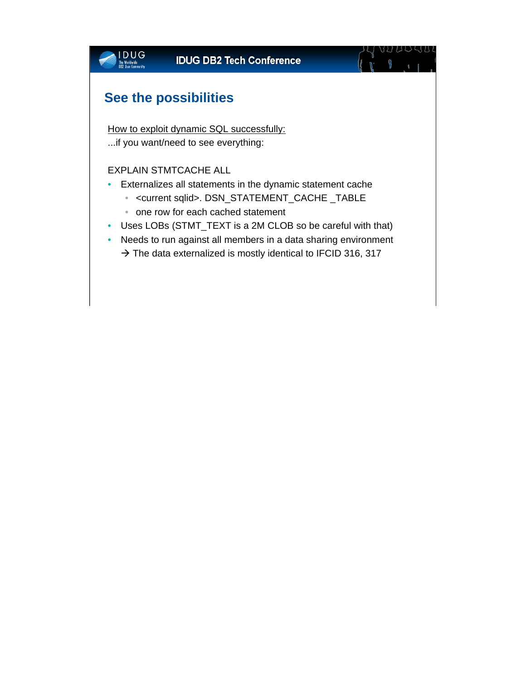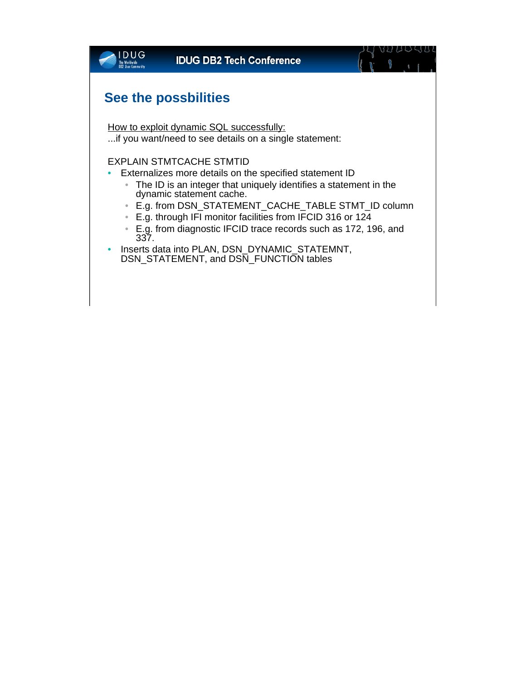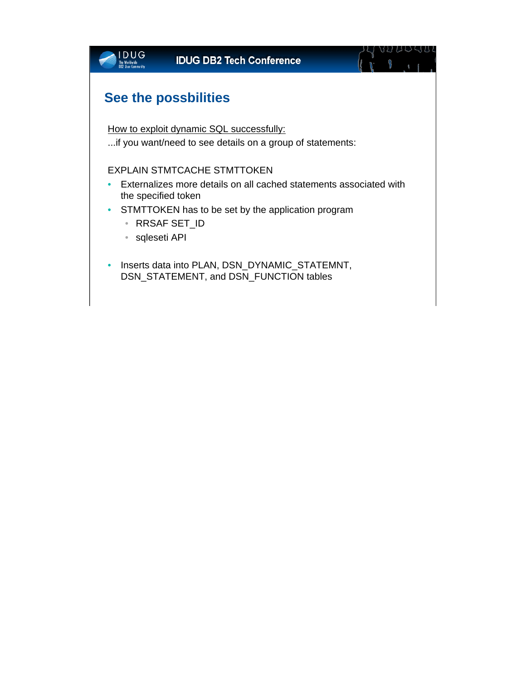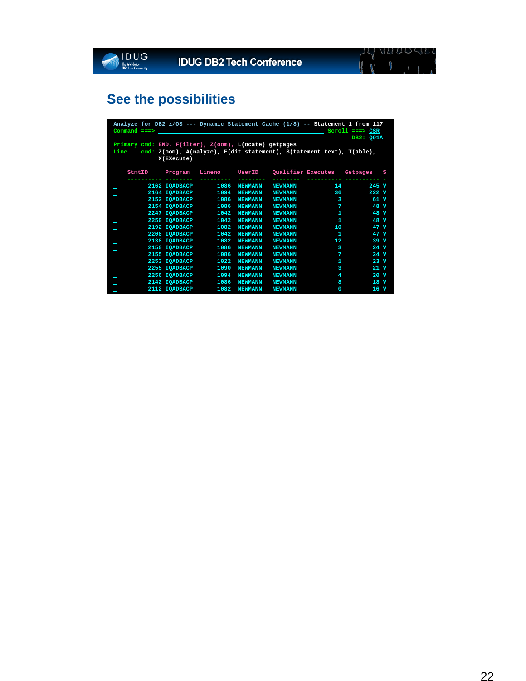

### 

# **See the possibilities**

|      |                  |                                                       |                | $\mathsf{Command} \ \texttt{==>}\ \texttt{)}$ |                                                                                     | $Scrol1$ ===> $CSR$<br>DB2: Q91A |
|------|------------------|-------------------------------------------------------|----------------|-----------------------------------------------|-------------------------------------------------------------------------------------|----------------------------------|
|      |                  | Primary cmd: END, F(ilter), Z(oom), L(ocate) getpages |                |                                               |                                                                                     |                                  |
| Line |                  |                                                       |                |                                               | cmd: $Z(oom)$ , $A(nalyze)$ , $E(dit statement)$ , $S(tatement text)$ , $T(able)$ , |                                  |
|      | X(EXecute)       |                                                       |                |                                               |                                                                                     |                                  |
|      |                  |                                                       |                |                                               |                                                                                     |                                  |
|      | StmtID Program   |                                                       |                |                                               | Lineno UserID Qualifier Executes Getpages                                           | S                                |
|      | ________________ |                                                       |                |                                               |                                                                                     |                                  |
|      |                  | 2162 IQADBACP 1086                                    | <b>NEWMANN</b> | <b>NEWMANN</b>                                |                                                                                     | 14 245 V                         |
|      |                  | 2164 IOADBACP 1094                                    | <b>NEWMANN</b> | <b>NEWMANN</b>                                |                                                                                     | 36<br>222 V                      |
|      | 2152 IQADBACP    | 1086                                                  | <b>NEWMANN</b> | <b>NEWMANN</b>                                | $\mathbf{3}$                                                                        | 61 V                             |
|      |                  | 2154 IQADBACP 1086                                    | <b>NEWMANN</b> | <b>NEWMANN</b>                                | $\mathbf{7}$                                                                        | 48 V                             |
|      | 2247 IQADBACP    | 1042                                                  | <b>NEWMANN</b> | <b>NEWMANN</b>                                | -1                                                                                  | 48 V                             |
|      |                  | 2250 IOADBACP 1042                                    | <b>NEWMANN</b> | <b>NEWMANN</b>                                | -1                                                                                  | 48 V                             |
|      | 2192 IOADBACP    | 1082                                                  | <b>NEWMANN</b> | <b>NEWMANN</b>                                | 10                                                                                  | 47 V                             |
|      | 2208 IQADBACP    | 1042                                                  | <b>NEWMANN</b> | <b>NEWMANN</b>                                | $\mathbf{1}$                                                                        | 47 V                             |
|      | 2138 IQADBACP    | 1082                                                  | <b>NEWMANN</b> | <b>NEWMANN</b>                                | 12 <sup>2</sup>                                                                     | 39 V                             |
|      | 2150 IQADBACP    | 1086                                                  | <b>NEWMANN</b> | <b>NEWMANN</b>                                | 3                                                                                   | 24 V                             |
|      | 2155 IOADBACP    | 1086                                                  | <b>NEWMANN</b> | <b>NEWMANN</b>                                | 7                                                                                   | 24 V                             |
|      | 2253 IOADBACP    | 1022                                                  | <b>NEWMANN</b> | <b>NEWMANN</b>                                | 1                                                                                   | 23 V                             |
|      | 2255 IOADBACP    | 1090                                                  | <b>NEWMANN</b> | <b>NEWMANN</b>                                | 3                                                                                   | 21 V                             |
|      | 2256 IOADBACP    | 1094                                                  | <b>NEWMANN</b> | <b>NEWMANN</b>                                | 4                                                                                   | 20 V                             |
|      | 2142 IQADBACP    | 1086                                                  | <b>NEWMANN</b> | <b>NEWMANN</b>                                | 8                                                                                   | 18 V                             |
|      | 2112 IOADBACP    | 1082                                                  | <b>NEWMANN</b> | <b>NEWMANN</b>                                | $\Omega$                                                                            | 16 V                             |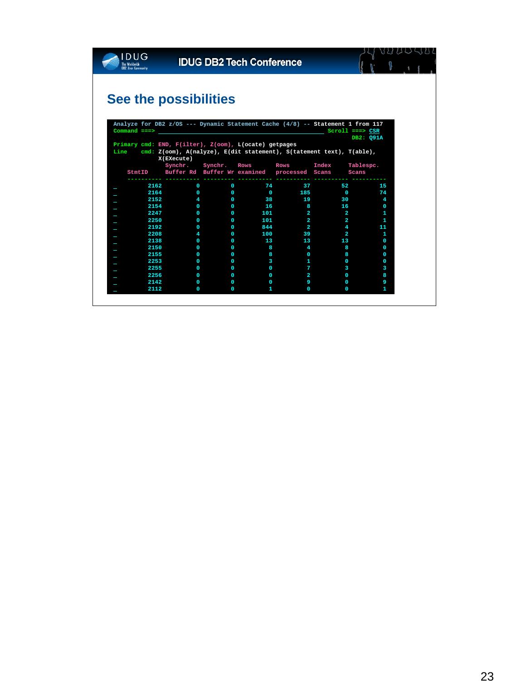

### 

# **See the possibilities**

|                                                                             |                     |             |                                              |                 |                | DB2: Q91A |
|-----------------------------------------------------------------------------|---------------------|-------------|----------------------------------------------|-----------------|----------------|-----------|
| Primary cmd: END, F(ilter), Z(oom), L(ocate) getpages                       |                     |             |                                              |                 |                |           |
| Line $cmd: Z(oom), A(nalyze), E(dit statement), S(tatement text), T(able),$ |                     |             |                                              |                 |                |           |
|                                                                             | X(EXecute)          |             |                                              |                 |                |           |
|                                                                             |                     |             | Synchr. Synchr. Rows Rows Index              |                 |                | Tablespc. |
| StmtID                                                                      |                     |             | Buffer Rd Buffer Wr examined processed Scans |                 |                | Scans     |
|                                                                             |                     |             |                                              |                 |                |           |
|                                                                             | 2162 20<br>$\Omega$ | $\Omega$    | 74                                           | 37              | 52             | 15        |
| 2164                                                                        | $\Omega$            | $\Omega$    | $\overline{\mathbf{0}}$                      | 185             | $\overline{0}$ | 74        |
| 2152                                                                        | 4                   | $\Omega$    | 38                                           | 19              | 30             | 4         |
| 2154                                                                        | $\Omega$            | $\Omega$    | 16                                           | 8               | 16             | $\Omega$  |
| 2247                                                                        | $\Omega$            | $\Omega$    | 101                                          | $\mathbf{2}$    | $\overline{2}$ | 1         |
| 2250                                                                        | $\Omega$            | $\Omega$    | 101                                          | $\overline{a}$  | 2              | 1         |
| 2192                                                                        | $\Omega$            | $\Omega$    | 844                                          | $\overline{2}$  | 4              | 11        |
| 2208                                                                        | 4                   | $\Omega$    | 100                                          | 39              | $\mathbf{2}$   | 1         |
| 2138                                                                        | $\Omega$            | $\Omega$    | 13                                           | 13 <sub>1</sub> | 13             | $\Omega$  |
| 2150                                                                        | $\Omega$            | $\Omega$    | 8                                            | 4               | 8              | O.        |
| 2155                                                                        | $\Omega$            | $\Omega$    | 8                                            | $\Omega$        | 8              | 0         |
| 2253                                                                        | $\Omega$            | $\Omega$    | 3                                            | 1               | 0              | 0         |
| 2255                                                                        | $\Omega$            | $\Omega$    | 0                                            | 7               | 3              | 3         |
| 2256                                                                        | $\Omega$            | $\Omega$    | 0                                            | $\overline{2}$  | 0              | 8         |
| 2142                                                                        | $\Omega$            | $\Omega$    | 0                                            | 9               | 0              | 9         |
| 2112                                                                        | $\Omega$            | $\mathbf 0$ | 1.                                           | $\Omega$        | $\Omega$       | 1         |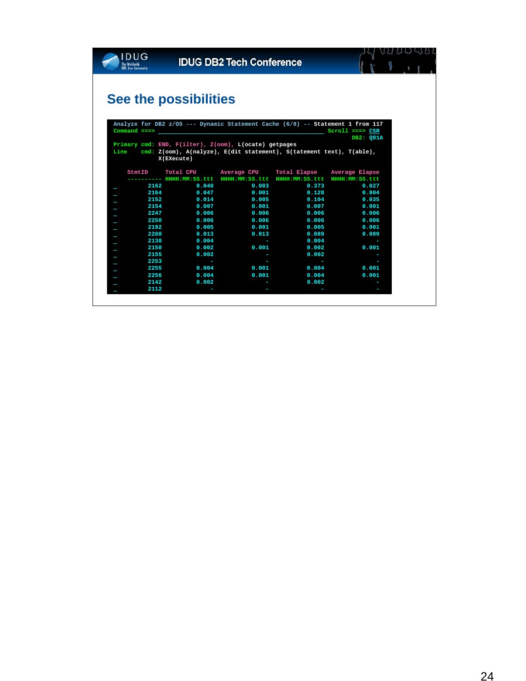

### 

# **See the possibilities**

|        |                | $\mathsf{Command} \texttt{ ==} \texttt{>}$            |                                                                             | $Scroll$ ===> $CSR$ |
|--------|----------------|-------------------------------------------------------|-----------------------------------------------------------------------------|---------------------|
|        |                |                                                       |                                                                             | DB2: Q91A           |
|        |                | Primary cmd: END, F(ilter), Z(oom), L(ocate) getpages |                                                                             |                     |
|        |                |                                                       | Line $cmd: Z(oom), A(nalyze), E(dit statement), S(tatement text), T(able),$ |                     |
|        | X(EXecute)     |                                                       |                                                                             |                     |
| StmtID |                |                                                       | Total CPU Average CPU Total Elapse Average Elapse                           |                     |
|        |                |                                                       | ------- HHHH:MM:SS.ttt HHHH:MM:SS.ttt HHHH:MM:SS.ttt HHHH:MM:SS.ttt         |                     |
|        | 2162 200       | $0.040$ $0.003$                                       | 0.373                                                                       | 0.027               |
|        | 2164 7         | 0.047                                                 | 0.001                                                                       | 0.128<br>0.004      |
|        | 2152 200       | 0.014                                                 | 0.005                                                                       | 0.104<br>0.035      |
| 2154   |                | 0.007<br>0.001                                        | 0.007                                                                       | 0.001               |
|        | 2247<br>0.006  | 0.006                                                 | 0.006                                                                       | 0.006               |
| 2250   | 0.006          | 0.006                                                 | 0.006                                                                       | 0.006               |
| 2192   | 0.005          | 0.001                                                 | 0.005                                                                       | 0.001               |
| 2208   | 0.013          | 0.013                                                 | 0.089                                                                       | 0.089               |
| 2138   | 0.004          |                                                       | 0.004<br>the control of the control of the con-                             |                     |
| 2150   | 0.002          | 0.001                                                 | 0.002                                                                       | 0.001               |
| 2155   | 0.002          | <b>Service State</b>                                  | 0.002                                                                       |                     |
| 2253   | <b>Service</b> |                                                       | <u>ransa</u>                                                                |                     |
| 2255   | 0.004          | 0.001                                                 | 0.004                                                                       | 0.001               |
| 2256   | 0.004          | 0.001                                                 | 0.004                                                                       | 0.001               |
| 2142   | 0.002          |                                                       | 0.002<br>the control of the control of the                                  |                     |
| 2112   |                |                                                       |                                                                             |                     |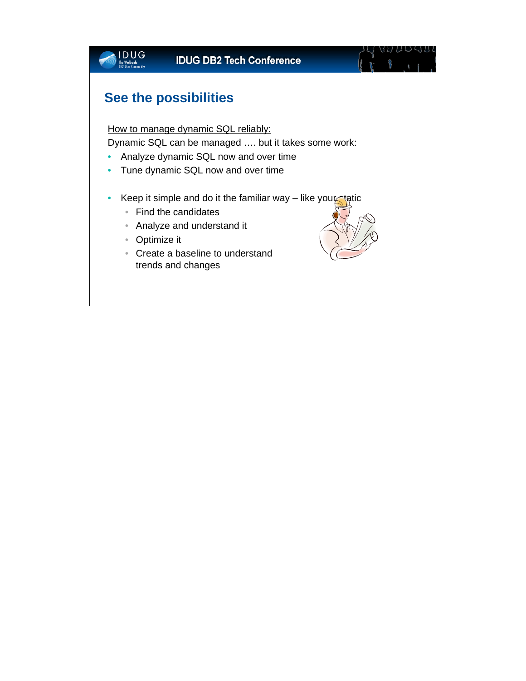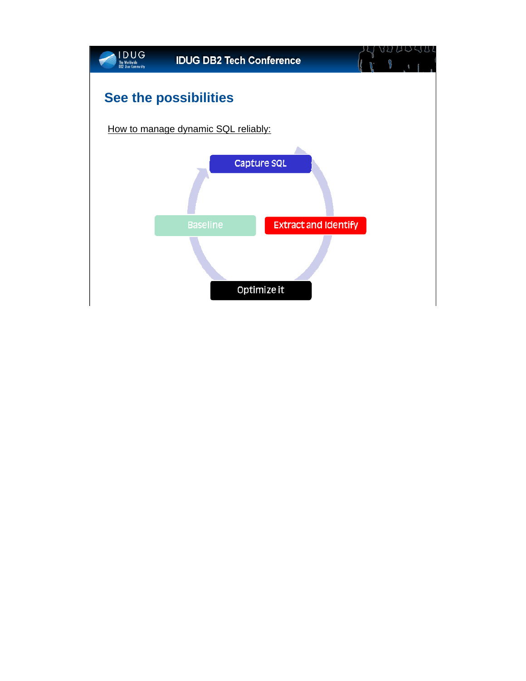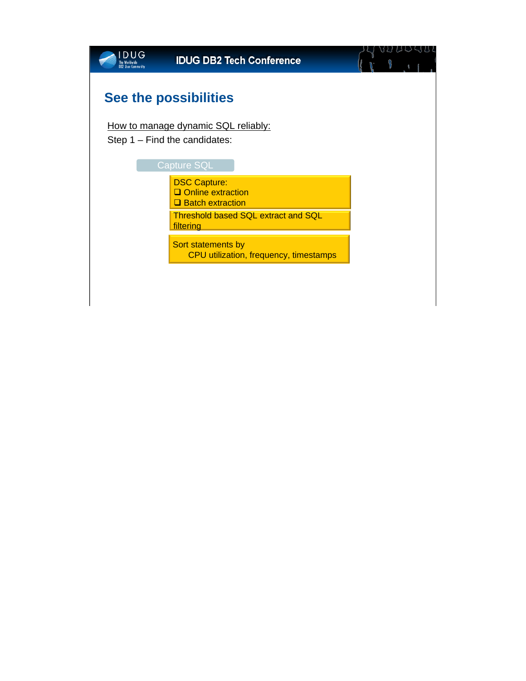| <b>DUG</b><br>he Worldwide<br><b>DB2 User Community</b> | <b>IDUG DB2 Tech Conference</b>                                        |  |
|---------------------------------------------------------|------------------------------------------------------------------------|--|
|                                                         | <b>See the possibilities</b>                                           |  |
|                                                         | How to manage dynamic SQL reliably:<br>Step $1 -$ Find the candidates: |  |
|                                                         |                                                                        |  |
|                                                         | <b>Capture SQL</b>                                                     |  |
|                                                         | <b>DSC Capture:</b><br>Online extraction<br>$\Box$ Batch extraction    |  |
|                                                         | <b>Threshold based SQL extract and SQL</b><br>filtering                |  |
|                                                         | Sort statements by<br>CPU utilization, frequency, timestamps           |  |
|                                                         |                                                                        |  |
|                                                         |                                                                        |  |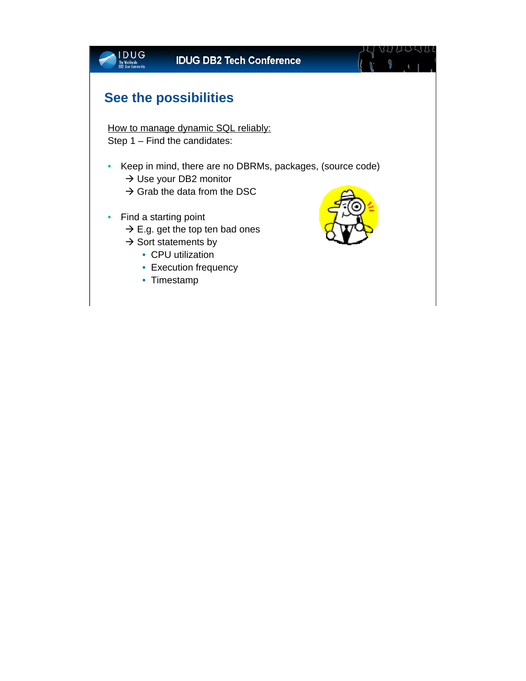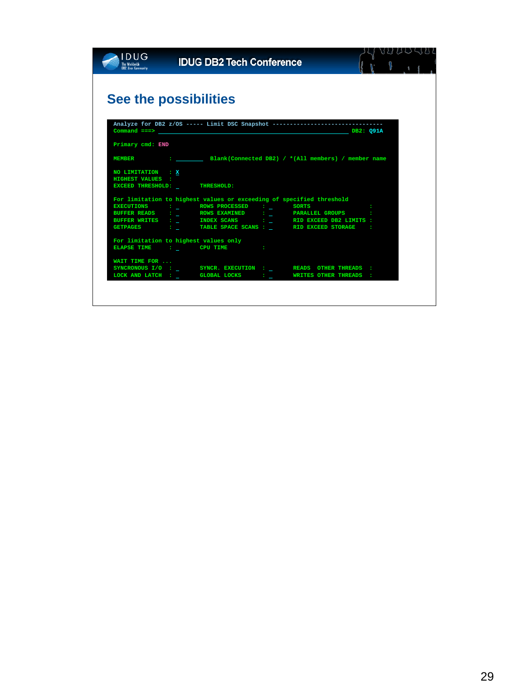| <b>DUG</b><br><b>DB2 User Community</b> | <b>IDUG DB2 Tech Conference</b>                                                                                                                 |     |
|-----------------------------------------|-------------------------------------------------------------------------------------------------------------------------------------------------|-----|
|                                         |                                                                                                                                                 |     |
|                                         |                                                                                                                                                 |     |
|                                         | See the possibilities                                                                                                                           |     |
|                                         |                                                                                                                                                 |     |
|                                         |                                                                                                                                                 |     |
|                                         | Analyze for DB2 z/OS ----- Limit DSC Snapshot -------------------------------<br>$\texttt{Command} \texttt{ ==} > \texttt{\texttt{CPB2: Q91A}}$ |     |
|                                         |                                                                                                                                                 |     |
| Primary cmd: END                        |                                                                                                                                                 |     |
|                                         | MEMBER : Blank(Connected DB2) / *(All members) / member name                                                                                    |     |
|                                         |                                                                                                                                                 |     |
| NO LIMITATION : X                       |                                                                                                                                                 |     |
| <b>HIGHEST VALUES :</b>                 |                                                                                                                                                 |     |
|                                         | EXCEED THRESHOLD: THRESHOLD:                                                                                                                    |     |
|                                         | For limitation to highest values or exceeding of specified threshold                                                                            |     |
|                                         | EXECUTIONS : ROWS PROCESSED : SORTS                                                                                                             | ÷   |
|                                         | BUFFER READS : _         ROWS EXAMINED         : _           PARALLEL GROUPS                                                                    | -21 |
|                                         |                                                                                                                                                 |     |
|                                         | GETPAGES : _ TABLE SPACE SCANS : _ RID EXCEED STORAGE :                                                                                         |     |
|                                         | For limitation to highest values only                                                                                                           |     |
|                                         | ELAPSE TIME : CPU TIME :                                                                                                                        |     |
|                                         |                                                                                                                                                 |     |
| WAIT TIME FOR                           |                                                                                                                                                 |     |
|                                         | SYNCRONOUS I/O : _ SYNCR. EXECUTION : _ READS OTHER THREADS :<br>LOCK AND LATCH : _ GLOBAL LOCKS : _ WRITES OTHER THREADS :                     |     |
|                                         |                                                                                                                                                 |     |
|                                         |                                                                                                                                                 |     |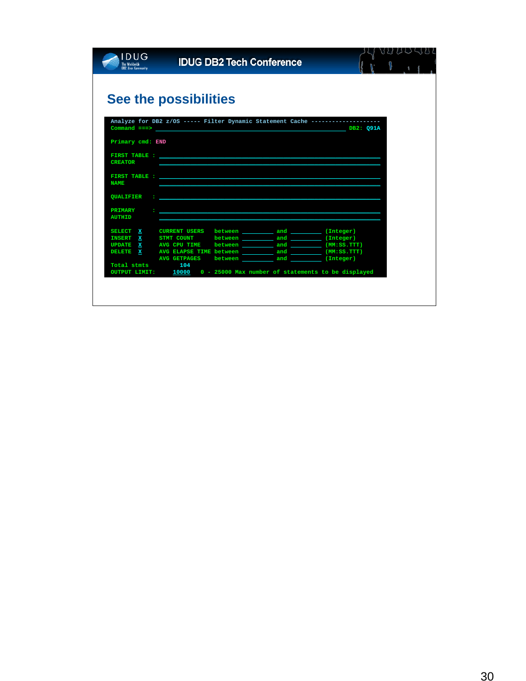|                  | See the possibilities                                                                                                                                                                                                          |  |                                                                               |  |
|------------------|--------------------------------------------------------------------------------------------------------------------------------------------------------------------------------------------------------------------------------|--|-------------------------------------------------------------------------------|--|
|                  |                                                                                                                                                                                                                                |  | Analyze for DB2 z/OS ----- Filter Dynamic Statement Cache ------------------- |  |
|                  | $\mathsf{Command} \ \texttt{==} \texttt{>}$                                                                                                                                                                                    |  | DB2: Q91A                                                                     |  |
| Primary cmd: END |                                                                                                                                                                                                                                |  |                                                                               |  |
|                  | FIRST TABLE : THE SERVICE OF THE SERVICE OF THE SERVICE OF THE SERVICE OF THE SERVICE OF THE SERVICE OF THE SERVICE OF THE SERVICE OF THE SERVICE OF THE SERVICE OF THE SERVICE OF THE SERVICE OF THE SERVICE OF THE SERVICE O |  |                                                                               |  |
| <b>CREATOR</b>   |                                                                                                                                                                                                                                |  |                                                                               |  |
|                  | FIRST TABLE : THE RESIDENCE OF THE RESIDENCE OF THE RESIDENCE OF THE RESIDENCE OF THE RESIDENCE OF THE RESIDENCE OF THE RESIDENCE OF THE RESIDENCE OF THE RESIDENCE OF THE RESIDENCE OF THE RESIDENCE OF THE RESIDENCE OF THE  |  |                                                                               |  |
| <b>NAME</b>      |                                                                                                                                                                                                                                |  |                                                                               |  |
| QUALIFIER        | $\sim$                                                                                                                                                                                                                         |  |                                                                               |  |
| <b>PRIMARY</b>   |                                                                                                                                                                                                                                |  |                                                                               |  |
| <b>AUTHID</b>    |                                                                                                                                                                                                                                |  |                                                                               |  |
|                  | SELECT X CURRENT USERS                                                                                                                                                                                                         |  |                                                                               |  |
|                  | INSERT X STMT COUNT                                                                                                                                                                                                            |  |                                                                               |  |
|                  | UPDATE X AVG CPU TIME                                                                                                                                                                                                          |  |                                                                               |  |
|                  |                                                                                                                                                                                                                                |  |                                                                               |  |
| DELETE X         | <b>AVG GETPAGES</b>                                                                                                                                                                                                            |  |                                                                               |  |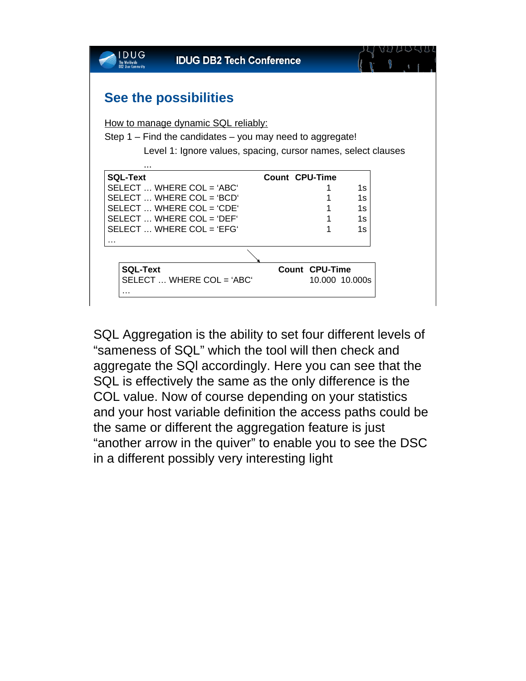

SQL Aggregation is the ability to set four different levels of "sameness of SQL" which the tool will then check and aggregate the SQl accordingly. Here you can see that the SQL is effectively the same as the only difference is the COL value. Now of course depending on your statistics and your host variable definition the access paths could be the same or different the aggregation feature is just "another arrow in the quiver" to enable you to see the DSC in a different possibly very interesting light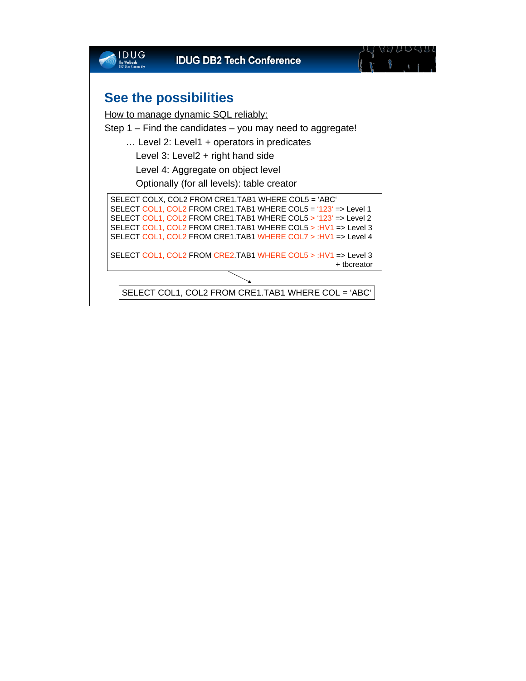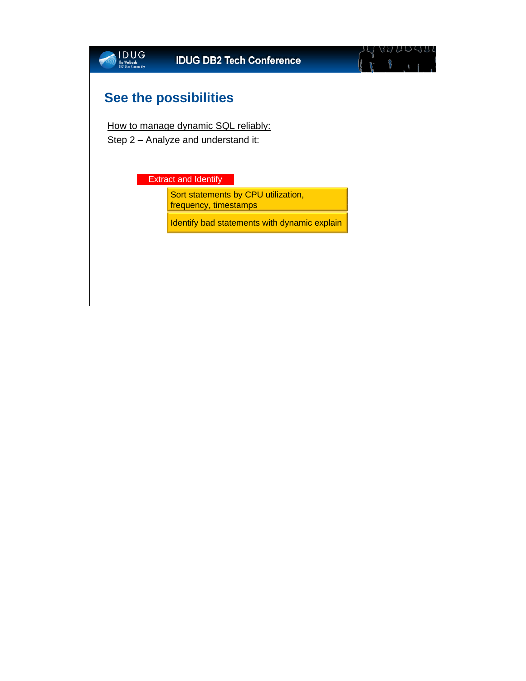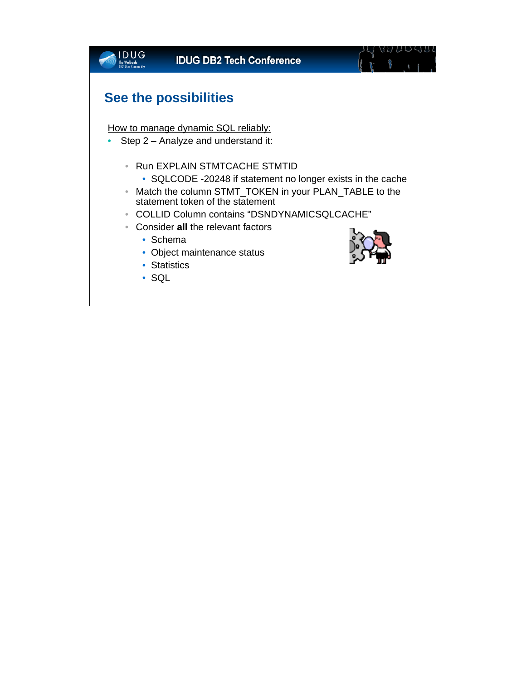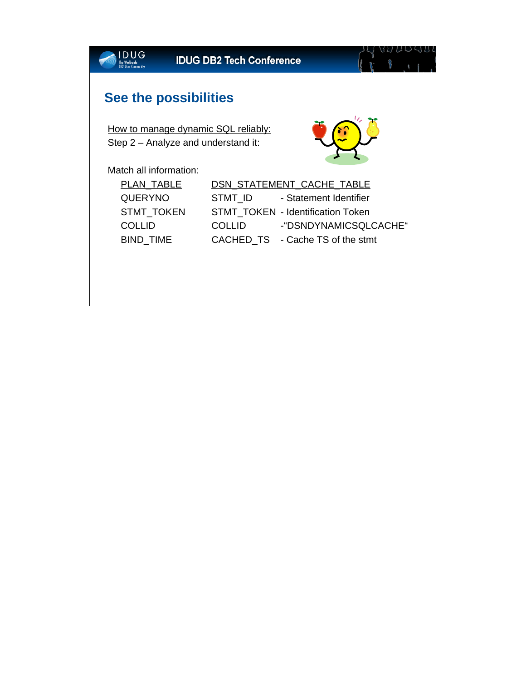|                                                                                                      | <b>IDUG DB2 Tech Conference</b> |                                          | VU UU SUL |
|------------------------------------------------------------------------------------------------------|---------------------------------|------------------------------------------|-----------|
| <b>See the possibilities</b>                                                                         |                                 |                                          |           |
| How to manage dynamic SQL reliably:<br>Step 2 – Analyze and understand it:<br>Match all information: |                                 |                                          |           |
| PLAN_TABLE                                                                                           |                                 | DSN STATEMENT CACHE TABLE                |           |
| <b>QUERYNO</b>                                                                                       | STMT_ID                         | - Statement Identifier                   |           |
| STMT_TOKEN                                                                                           |                                 | <b>STMT TOKEN - Identification Token</b> |           |
| <b>COLLID</b>                                                                                        | <b>COLLID</b>                   | -"DSNDYNAMICSQLCACHE"                    |           |
| BIND_TIME                                                                                            |                                 | CACHED TS - Cache TS of the stmt         |           |
|                                                                                                      |                                 |                                          |           |
|                                                                                                      |                                 |                                          |           |
|                                                                                                      |                                 |                                          |           |
|                                                                                                      |                                 |                                          |           |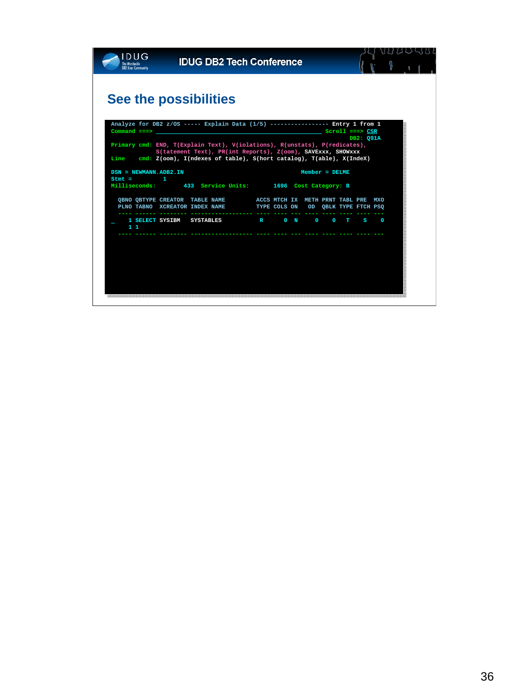|                                   | See the possibilities                                                                                                                            |                               |  |                                    |                     |       |           |          |
|-----------------------------------|--------------------------------------------------------------------------------------------------------------------------------------------------|-------------------------------|--|------------------------------------|---------------------|-------|-----------|----------|
|                                   | Analyze for DB2 z/OS ----- Explain Data (1/5) ---------------- Entry 1 from 1                                                                    |                               |  |                                    |                     |       |           |          |
| $Command ==->$                    |                                                                                                                                                  |                               |  |                                    | $Scroll$ ===> $CSR$ |       | DB2: 091A |          |
|                                   | Primary cmd: END, T(Explain Text), V(iolations), R(unstats), P(redicates),                                                                       |                               |  |                                    |                     |       |           |          |
| Line                              | S(tatement Text), PR(int Reports), Z(oom), SAVExxx, SHOWxxx<br>cmd: $Z(oom)$ , $I(ndexes of table)$ , $S(hort catalog)$ , $T(able)$ , $X(Index)$ |                               |  |                                    |                     |       |           |          |
|                                   |                                                                                                                                                  |                               |  |                                    |                     |       |           |          |
| DSN = NEWMANN.ADB2.IN<br>$Stmt =$ |                                                                                                                                                  |                               |  | $Member = DELME$                   |                     |       |           |          |
| Milliseconds:                     | 433 Service Units: 1696 Cost Category: B                                                                                                         |                               |  |                                    |                     |       |           |          |
|                                   | QBNO QBTYPE CREATOR TABLE NAME ACCS MTCH IX METH PRNT TABL PRE MXO                                                                               |                               |  |                                    |                     |       |           |          |
|                                   | PLNO TABNO XCREATOR INDEX NAME                                                                                                                   |                               |  | TYPE COLS ON OD QBLK TYPE FTCH PSQ |                     |       |           |          |
|                                   |                                                                                                                                                  | $\mathbf{R}$ and $\mathbf{R}$ |  | 0 N 0                              |                     | $0$ T | S.        | $\Omega$ |
|                                   |                                                                                                                                                  |                               |  |                                    |                     |       |           |          |
| 1 SELECT SYSIBM SYSTABLES<br>11   |                                                                                                                                                  |                               |  |                                    |                     |       |           |          |
|                                   |                                                                                                                                                  |                               |  |                                    |                     |       |           |          |
|                                   |                                                                                                                                                  |                               |  |                                    |                     |       |           |          |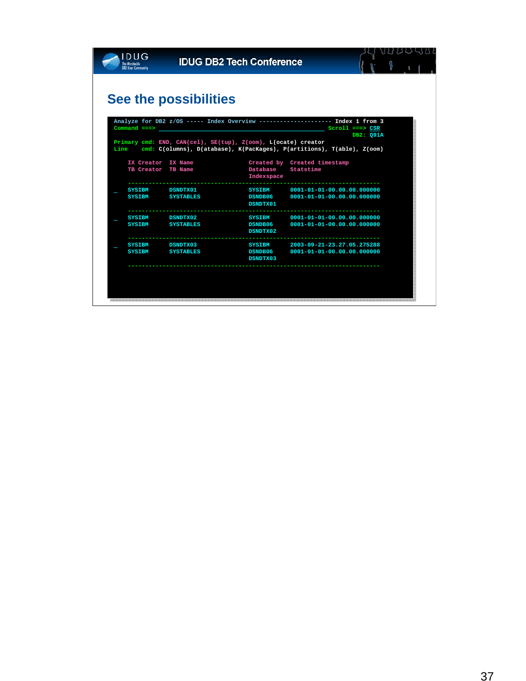|                                          | See the possibilities |                                                               |                                                                              |  |
|------------------------------------------|-----------------------|---------------------------------------------------------------|------------------------------------------------------------------------------|--|
|                                          |                       |                                                               | Analyze for DB2 z/OS ----- Index Overview ------------------- Index 1 from 3 |  |
| $Command ==->$                           |                       |                                                               | $Scroll$ ===> $CSR$                                                          |  |
|                                          |                       | Primary cmd: END, CAN(cel), SE(tup), Z(oom), L(ocate) creator | DB2: Q91A                                                                    |  |
| IX Creator IX Name<br>TB Creator TB Name |                       | Database                                                      | Created by Created timestamp<br>Statstime                                    |  |
|                                          |                       | Indexspace                                                    |                                                                              |  |
| <b>SYSIBM</b>                            | <b>DSNDTX01</b>       | <b>SYSIBM</b>                                                 | 0001-01-01-00.00.00.000000                                                   |  |
| <b>SYSIBM</b>                            | <b>SYSTABLES</b>      | <b>DSNDB06</b><br>DSNDTX01                                    | 0001-01-01-00.00.00.000000                                                   |  |
| <b>SYSIBM</b>                            | <b>DSNDTX02</b>       | SYSIBM                                                        | 0001-01-01-00.00.00.000000                                                   |  |
| <b>SYSIBM</b>                            | <b>SYSTABLES</b>      | <b>DSNDB06</b><br>DSNDTX02                                    | 0001-01-01-00.00.00.000000                                                   |  |
|                                          |                       |                                                               |                                                                              |  |
| <b>SYSIBM</b>                            | <b>DSNDTX03</b>       | <b>SYSIBM</b>                                                 | 2003-09-21-23.27.05.275288                                                   |  |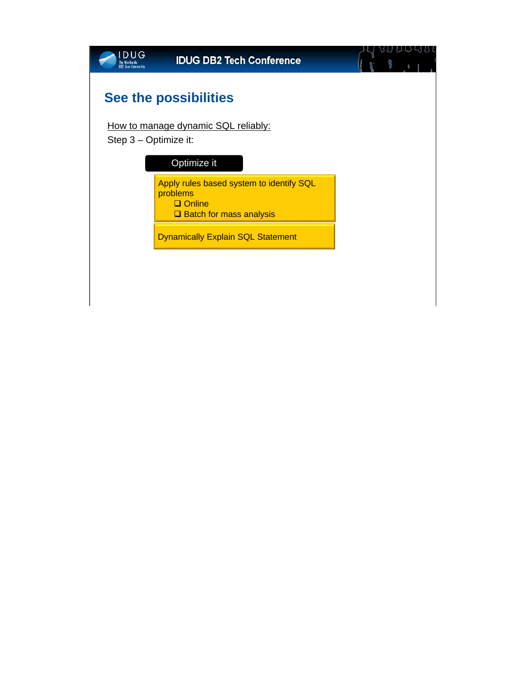| DUG<br><b>OB2 User Community</b> | <b>IDUG DB2 Tech Conference</b>                                                                           |  |
|----------------------------------|-----------------------------------------------------------------------------------------------------------|--|
|                                  | <b>See the possibilities</b>                                                                              |  |
| Step 3 – Optimize it:            | How to manage dynamic SQL reliably:<br>Optimize it                                                        |  |
|                                  | Apply rules based system to identify SQL<br>problems<br>$\Box$ Online<br><b>□</b> Batch for mass analysis |  |
|                                  | <b>Dynamically Explain SQL Statement</b>                                                                  |  |
|                                  |                                                                                                           |  |
|                                  |                                                                                                           |  |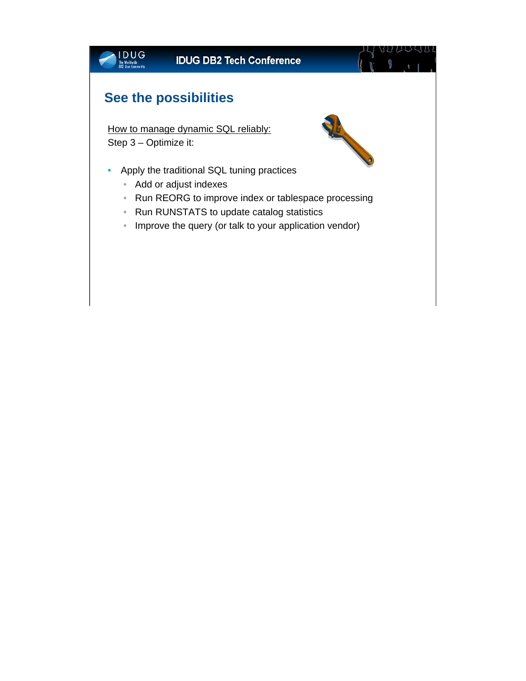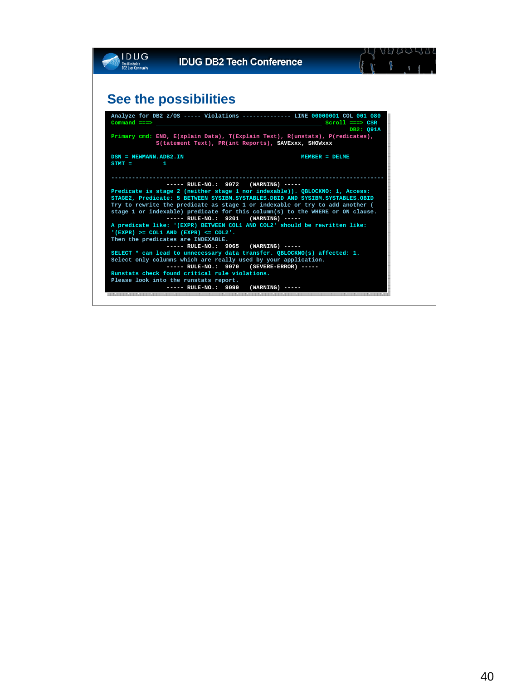| <b>DUG</b><br><b>B2 User Communi</b> | <b>IDUG DB2 Tech Conference</b>                                                                                                                                                                                      |                   |                   |           |  |
|--------------------------------------|----------------------------------------------------------------------------------------------------------------------------------------------------------------------------------------------------------------------|-------------------|-------------------|-----------|--|
|                                      |                                                                                                                                                                                                                      |                   |                   |           |  |
|                                      | See the possibilities                                                                                                                                                                                                |                   |                   |           |  |
| $Command ==->$                       | Analyze for DB2 z/OS ----- Violations ------------- LINE 00000001 COL 001 080<br>Primary cmd: END, E(xplain Data), T(Explain Text), R(unstats), P(redicates),<br>S(tatement Text), PR(int Reports), SAVExxx, SHOWxxx |                   | $Scroll == > CSR$ | DB2: Q91A |  |
| DSN = NEWMANN.ADB2.IN<br>$STMT =$    |                                                                                                                                                                                                                      |                   | $MEMBER = DELME$  |           |  |
|                                      |                                                                                                                                                                                                                      |                   |                   |           |  |
|                                      | $---$ RULE-NO.: 9072 (WARNING) $---$                                                                                                                                                                                 |                   |                   |           |  |
|                                      | Predicate is stage 2 (neither stage 1 nor indexable)). QBLOCKNO: 1, Access:                                                                                                                                          |                   |                   |           |  |
|                                      | STAGE2, Predicate: 5 BETWEEN SYSIBM.SYSTABLES. DBID AND SYSIBM.SYSTABLES. OBID<br>Try to rewrite the predicate as stage 1 or indexable or try to add another (                                                       |                   |                   |           |  |
|                                      | stage 1 or indexable) predicate for this column(s) to the WHERE or ON clause.                                                                                                                                        |                   |                   |           |  |
|                                      | ----- RULE-NO.: 9201 (WARNING) -----                                                                                                                                                                                 |                   |                   |           |  |
|                                      | A predicate like: '(EXPR) BETWEEN COL1 AND COL2' should be rewritten like:                                                                                                                                           |                   |                   |           |  |
|                                      | $!($ EXPR) >= COL1 AND $($ EXPR) <= COL2 $'.$                                                                                                                                                                        |                   |                   |           |  |
|                                      | Then the predicates are INDEXABLE.                                                                                                                                                                                   |                   |                   |           |  |
|                                      | $---$ RULE-NO.: 9065                                                                                                                                                                                                 | $(WARNING)$ ----- |                   |           |  |
|                                      | SELECT * can lead to unnecessary data transfer. QBLOCKNO(s) affected: 1.                                                                                                                                             |                   |                   |           |  |
|                                      | Select only columns which are really used by your application.<br>$---$ RULE-NO.: 9070 (SEVERE-ERROR) $---$                                                                                                          |                   |                   |           |  |
|                                      | Runstats check found critical rule violations.                                                                                                                                                                       |                   |                   |           |  |
|                                      | Please look into the runstats report.                                                                                                                                                                                |                   |                   |           |  |
|                                      | $---$ RULE-NO.: 9099                                                                                                                                                                                                 | $(WARNING)$ ----- |                   |           |  |
|                                      |                                                                                                                                                                                                                      |                   |                   |           |  |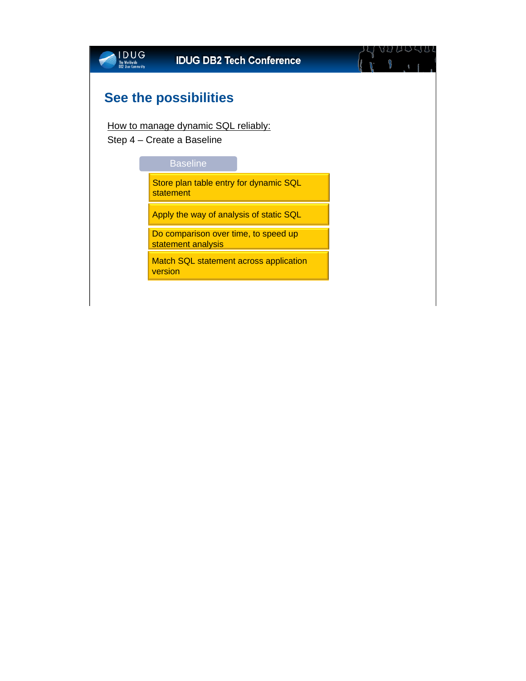| DUG<br><b>Ilser Communit</b> | <b>IDUG DB2 Tech Conference</b>                                   |  |
|------------------------------|-------------------------------------------------------------------|--|
|                              | See the possibilities                                             |  |
|                              | How to manage dynamic SQL reliably:<br>Step 4 – Create a Baseline |  |
|                              | <b>Baseline</b>                                                   |  |
|                              | Store plan table entry for dynamic SQL<br>statement               |  |
|                              | Apply the way of analysis of static SQL                           |  |
|                              | Do comparison over time, to speed up<br>statement analysis        |  |
|                              | Match SQL statement across application<br>version                 |  |
|                              |                                                                   |  |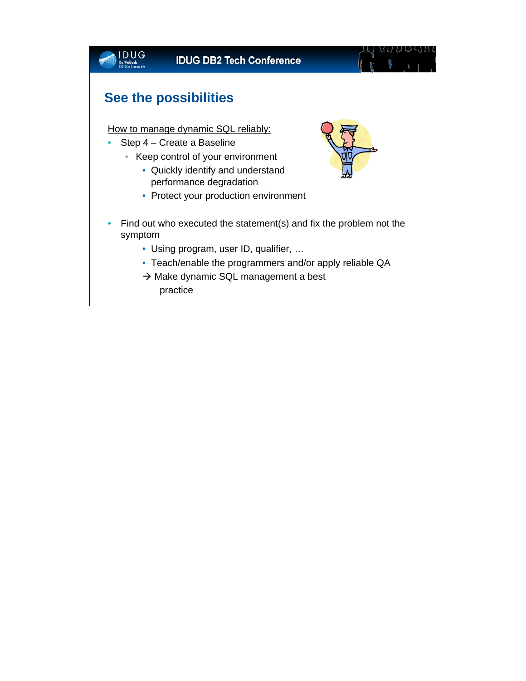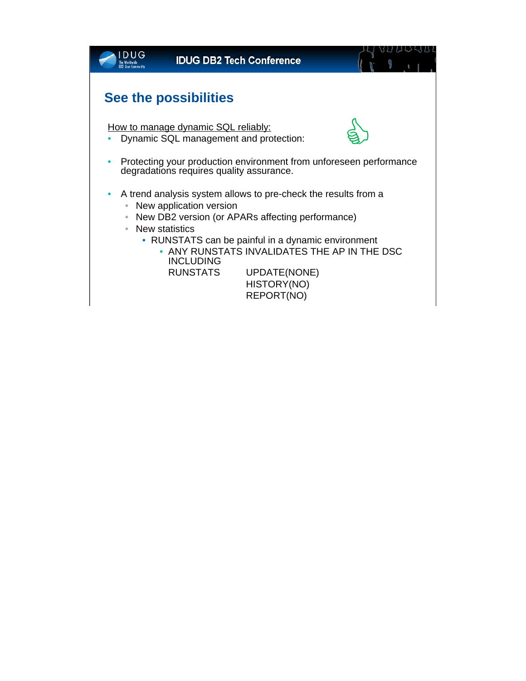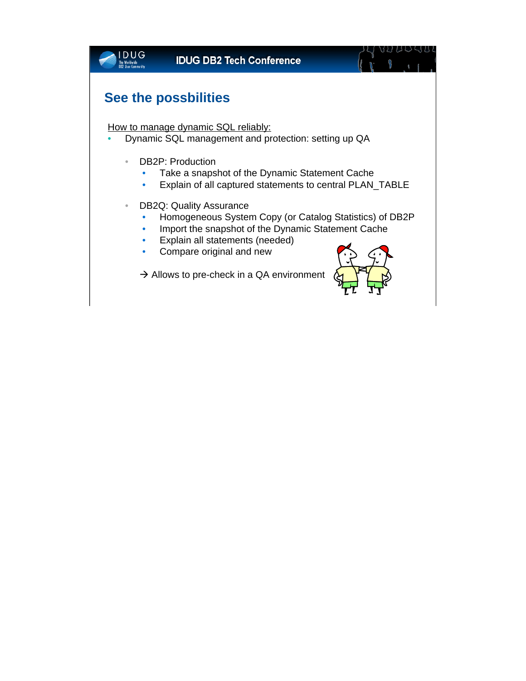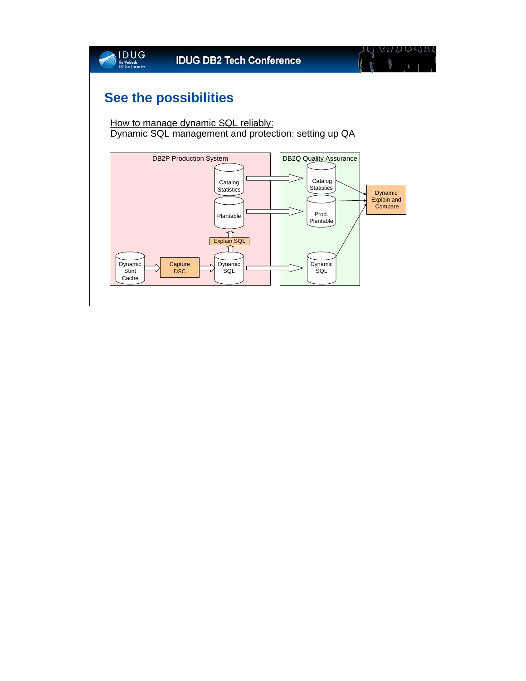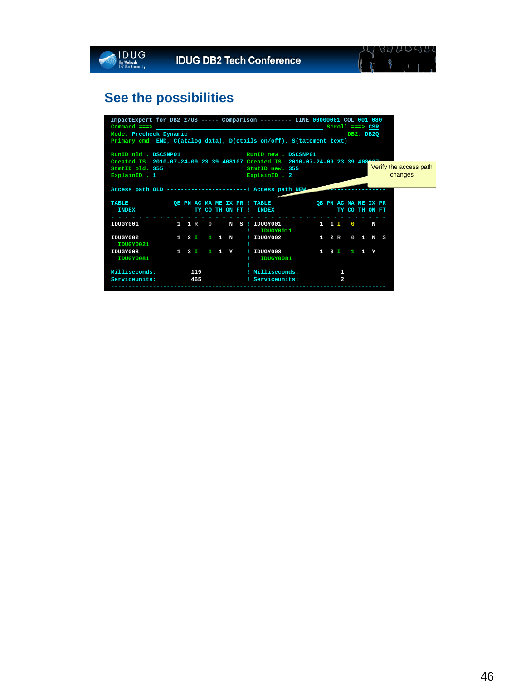| <b>DUG</b><br>The Worldwide    | <b>IDUG DB2 Tech Conference</b>                                               |                        |
|--------------------------------|-------------------------------------------------------------------------------|------------------------|
| <b>DB2 User Community</b>      |                                                                               |                        |
|                                |                                                                               |                        |
|                                |                                                                               |                        |
|                                | See the possibilities                                                         |                        |
|                                |                                                                               |                        |
|                                | ImpactExpert for DB2 z/OS ----- Comparison -------- LINE 00000001 COL 001 080 |                        |
|                                | $Common and == >$                                                             | $Scroll == > CSR$      |
| Mode: Precheck Dynamic         |                                                                               | DB2: DB2Q              |
|                                | Primary cmd: END, C(atalog data), D(etails on/off), S(tatement text)          |                        |
|                                | RunID old . DSCSNP01 RunID new . DSCSNP01                                     |                        |
|                                | Created TS. 2010-07-24-09.23.39.408107 Created TS. 2010-07-24-09.23.39.408    |                        |
| StmtID old. 355                | StmtID new. 355                                                               | Verify the access path |
| ExplainID . 1                  | ExplainID . 2                                                                 | changes                |
|                                |                                                                               |                        |
|                                | Access path OLD ------------------------ Recess path NEW                      |                        |
| <b>TABLE</b>                   | OB PN AC MA ME IX PR ! TABLE                                                  | OB PN AC MA ME IX PR   |
| <b>INDEX</b>                   | TY CO THON FT ! INDEX                                                         | TY CO TH ON FT         |
|                                |                                                                               |                        |
|                                | IDUGY001 1 1 R 0<br>N S ! IDUGY001 1 1 I 0                                    | N                      |
| IDUGY002                       | IDUGY0011<br>$1 \t2 \t1 \t1 \tN$<br>! IDUGY002 1 2 R 0 1 N S                  |                        |
| IDUGY0021                      |                                                                               |                        |
| IDUGY008                       | 1 3 I 1 1 Y 1 IDUGY008 1 3 I 1 1 Y                                            |                        |
| IDUGY0081                      | IDUGY0081                                                                     |                        |
|                                |                                                                               |                        |
| Milliseconds:<br>Serviceunits: | ! Milliseconds:<br>119<br>465<br>! Serviceunits:                              | 1.<br>$\overline{a}$   |
|                                |                                                                               |                        |
|                                |                                                                               |                        |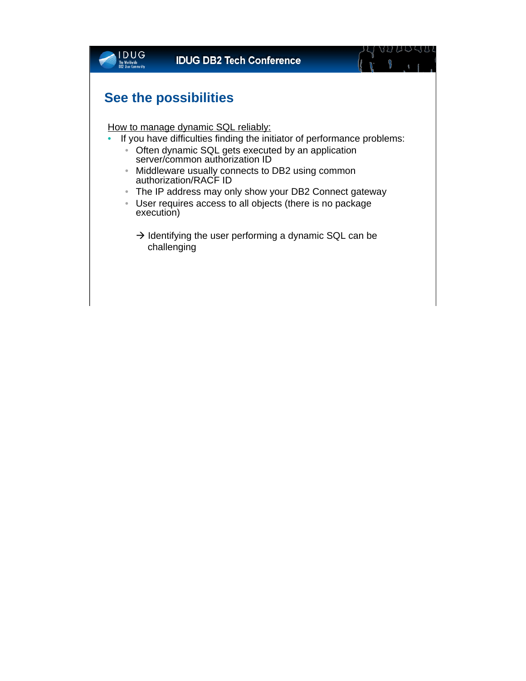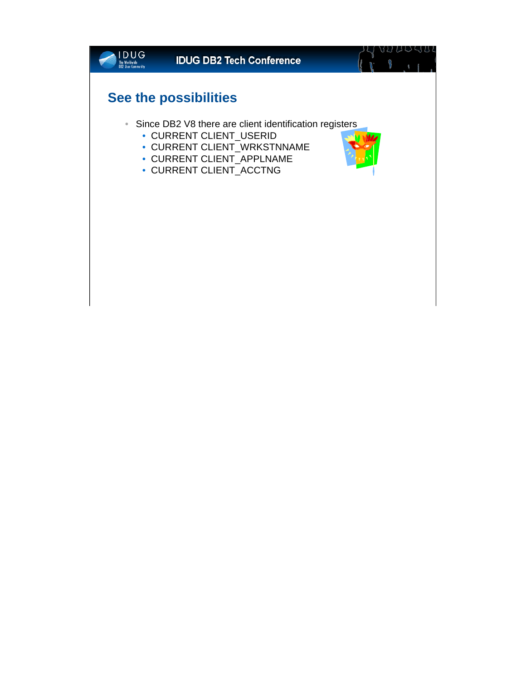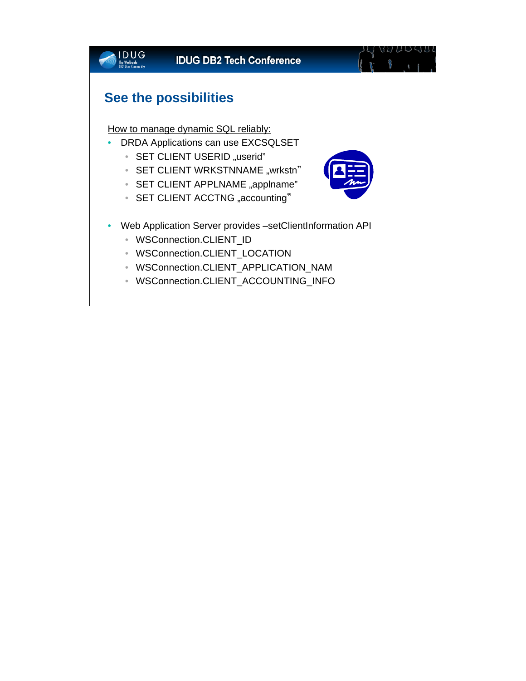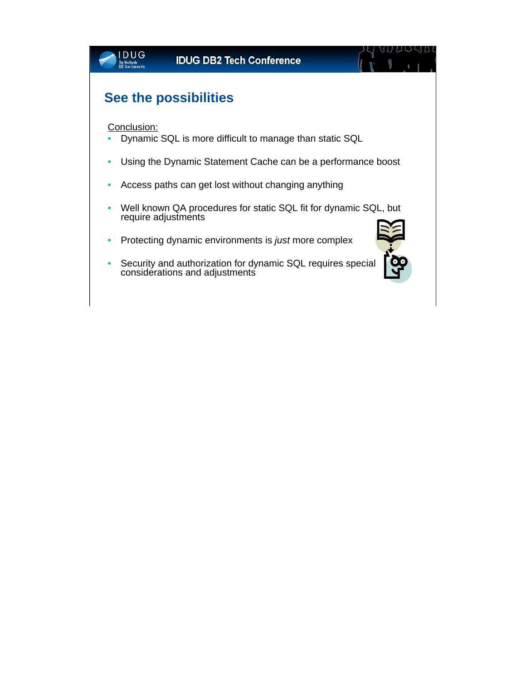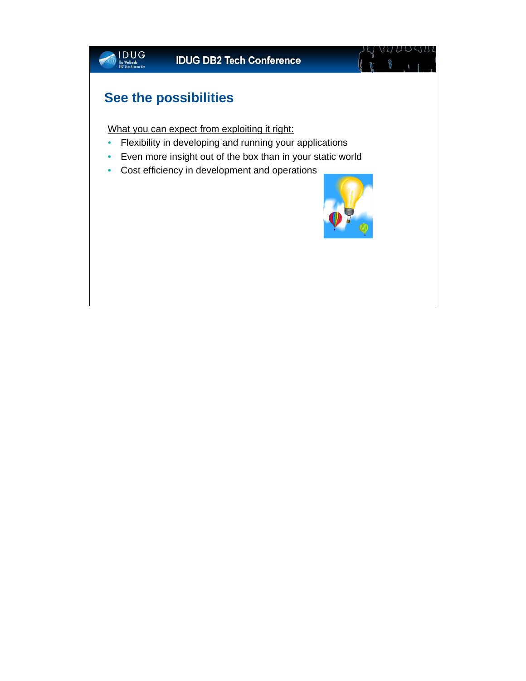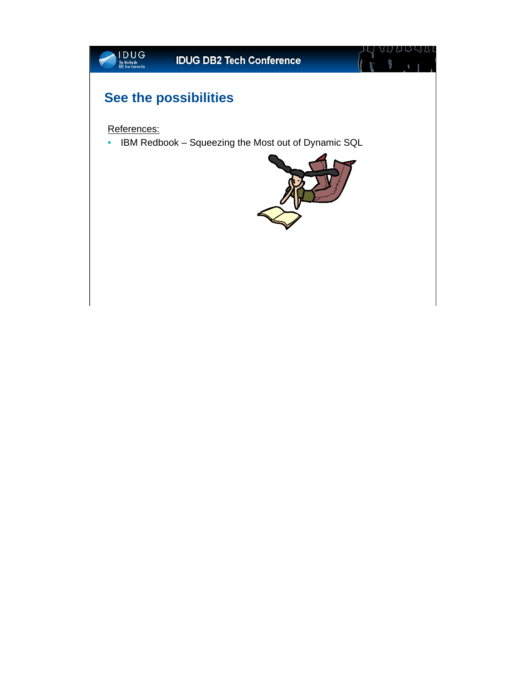